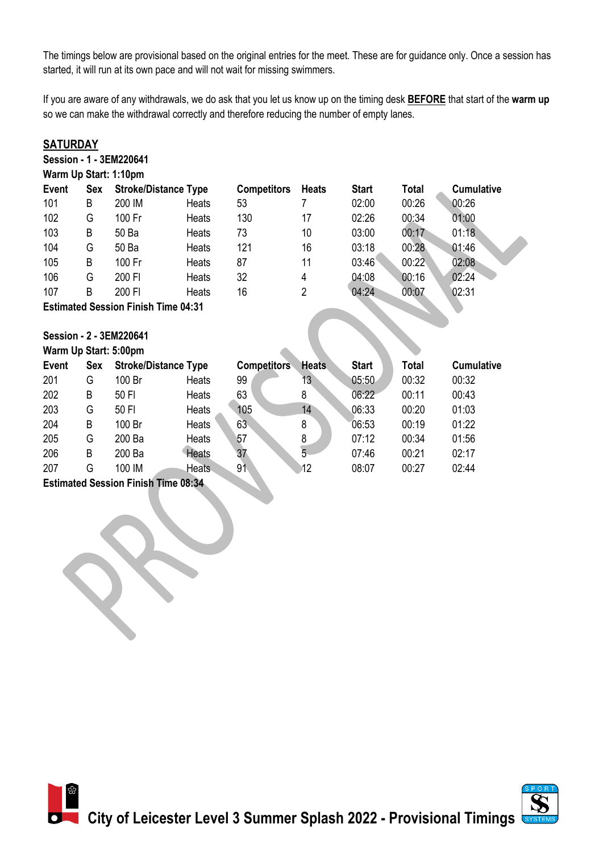The timings below are provisional based on the original entries for the meet. These are for guidance only. Once a session has started, it will run at its own pace and will not wait for missing swimmers.

If you are aware of any withdrawals, we do ask that you let us know up on the timing desk **BEFORE** that start of the **warm up** so we can make the withdrawal correctly and therefore reducing the number of empty lanes.

| <b>SATURDAY</b>                            |     |                             |              |                    |              |              |       |                   |  |  |
|--------------------------------------------|-----|-----------------------------|--------------|--------------------|--------------|--------------|-------|-------------------|--|--|
| Session - 1 - 3EM220641                    |     |                             |              |                    |              |              |       |                   |  |  |
| Warm Up Start: 1:10pm                      |     |                             |              |                    |              |              |       |                   |  |  |
| Event                                      | Sex | <b>Stroke/Distance Type</b> |              | <b>Competitors</b> | <b>Heats</b> | <b>Start</b> | Total | <b>Cumulative</b> |  |  |
| 101                                        | B   | 200 IM                      | Heats        | 53                 | 7            | 02:00        | 00:26 | 00:26             |  |  |
| 102                                        | G   | 100 Fr                      | Heats        | 130                | 17           | 02:26        | 00:34 | 01:00             |  |  |
| 103                                        | B   | 50 Ba                       | Heats        | 73                 | 10           | 03:00        | 00:17 | 01:18             |  |  |
| 104                                        | G   | 50 Ba                       | Heats        | 121                | 16           | 03:18        | 00:28 | 01:46             |  |  |
| 105                                        | B   | 100 Fr                      | Heats        | 87                 | 11           | 03:46        | 00:22 | 02:08             |  |  |
| 106                                        | G   | 200 FI                      | Heats        | 32                 | 4            | 04:08        | 00:16 | 02:24             |  |  |
| 107                                        | B   | 200 FI                      | <b>Heats</b> | 16                 | 2            | 04:24        | 00:07 | 02:31             |  |  |
| <b>Estimated Session Finish Time 04:31</b> |     |                             |              |                    |              |              |       |                   |  |  |
|                                            |     |                             |              |                    |              |              |       |                   |  |  |
| Session - 2 - 3EM220641                    |     |                             |              |                    |              |              |       |                   |  |  |
| Warm Up Start: 5:00pm                      |     |                             |              |                    |              |              |       |                   |  |  |
| Event                                      | Sex | <b>Stroke/Distance Type</b> |              | <b>Competitors</b> | <b>Heats</b> | <b>Start</b> | Total | <b>Cumulative</b> |  |  |
| 201                                        | G   | 100 Br                      | Heats        | 99                 | 13           | 05:50        | 00:32 | 00:32             |  |  |

| 201 | G | 100 Br | Heats        | 99  | 13 | 05:50 | 00:32 | 00:32 |  |
|-----|---|--------|--------------|-----|----|-------|-------|-------|--|
| 202 | B | 50 FI  | Heats        | 63  | 8  | 06:22 | 00:11 | 00:43 |  |
| 203 | G | 50 FI  | Heats        | 105 | 14 | 06:33 | 00:20 | 01:03 |  |
| 204 | B | 100 Br | <b>Heats</b> | 63  | 8  | 06:53 | 00:19 | 01:22 |  |
| 205 | G | 200 Ba | Heats        | 57  |    | 07:12 | 00:34 | 01:56 |  |
| 206 | B | 200 Ba | <b>Heats</b> | 37  |    | 07:46 | 00:21 | 02:17 |  |
| 207 | G | 100 IM | <b>Heats</b> | 91  | 12 | 08:07 | 00:27 | 02:44 |  |
|     |   |        |              |     |    |       |       |       |  |

**Estimated Session Finish Time 08:34**

SK.